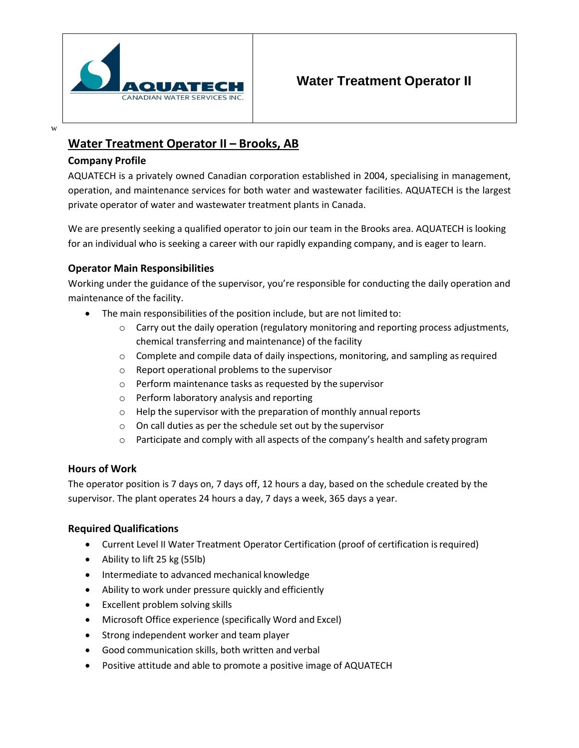

# **Water Treatment Operator II**

# **Water Treatment Operator II – Brooks, AB**

### **Company Profile**

AQUATECH is a privately owned Canadian corporation established in 2004, specialising in management, operation, and maintenance services for both water and wastewater facilities. AQUATECH is the largest private operator of water and wastewater treatment plants in Canada.

We are presently seeking a qualified operator to join our team in the Brooks area. AQUATECH is looking for an individual who is seeking a career with our rapidly expanding company, and is eager to learn.

# **Operator Main Responsibilities**

Working under the guidance of the supervisor, you're responsible for conducting the daily operation and maintenance of the facility.

- The main responsibilities of the position include, but are not limited to:
	- $\circ$  Carry out the daily operation (regulatory monitoring and reporting process adjustments, chemical transferring and maintenance) of the facility
	- $\circ$  Complete and compile data of daily inspections, monitoring, and sampling as required
	- o Report operational problems to the supervisor
	- o Perform maintenance tasks as requested by the supervisor
	- o Perform laboratory analysis and reporting
	- o Help the supervisor with the preparation of monthly annual reports
	- o On call duties as per the schedule set out by the supervisor
	- $\circ$  Participate and comply with all aspects of the company's health and safety program

#### **Hours of Work**

The operator position is 7 days on, 7 days off, 12 hours a day, based on the schedule created by the supervisor. The plant operates 24 hours a day, 7 days a week, 365 days a year.

# **Required Qualifications**

- Current Level II Water Treatment Operator Certification (proof of certification isrequired)
- Ability to lift 25 kg (55lb)
- Intermediate to advanced mechanical knowledge
- Ability to work under pressure quickly and efficiently
- Excellent problem solving skills
- Microsoft Office experience (specifically Word and Excel)
- Strong independent worker and team player
- Good communication skills, both written and verbal
- Positive attitude and able to promote a positive image of AQUATECH